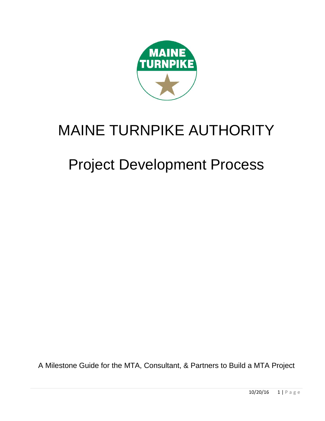

# MAINE TURNPIKE AUTHORITY

# Project Development Process

A Milestone Guide for the MTA, Consultant, & Partners to Build a MTA Project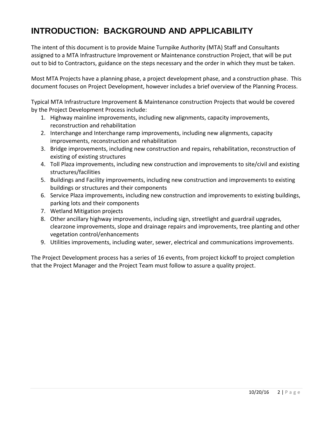# **INTRODUCTION: BACKGROUND AND APPLICABILITY**

The intent of this document is to provide Maine Turnpike Authority (MTA) Staff and Consultants assigned to a MTA Infrastructure Improvement or Maintenance construction Project, that will be put out to bid to Contractors, guidance on the steps necessary and the order in which they must be taken.

Most MTA Projects have a planning phase, a project development phase, and a construction phase. This document focuses on Project Development, however includes a brief overview of the Planning Process.

Typical MTA Infrastructure Improvement & Maintenance construction Projects that would be covered by the Project Development Process include:

- 1. Highway mainline improvements, including new alignments, capacity improvements, reconstruction and rehabilitation
- 2. Interchange and Interchange ramp improvements, including new alignments, capacity improvements, reconstruction and rehabilitation
- 3. Bridge improvements, including new construction and repairs, rehabilitation, reconstruction of existing of existing structures
- 4. Toll Plaza improvements, including new construction and improvements to site/civil and existing structures/facilities
- 5. Buildings and Facility improvements, including new construction and improvements to existing buildings or structures and their components
- 6. Service Plaza improvements, including new construction and improvements to existing buildings, parking lots and their components
- 7. Wetland Mitigation projects
- 8. Other ancillary highway improvements, including sign, streetlight and guardrail upgrades, clearzone improvements, slope and drainage repairs and improvements, tree planting and other vegetation control/enhancements
- 9. Utilities improvements, including water, sewer, electrical and communications improvements.

The Project Development process has a series of 16 events, from project kickoff to project completion that the Project Manager and the Project Team must follow to assure a quality project.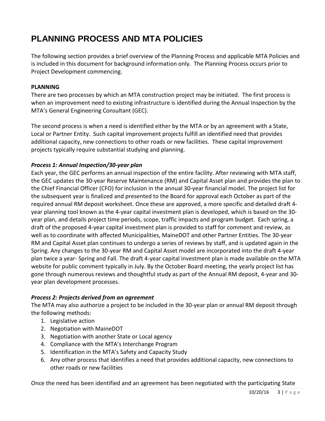# **PLANNING PROCESS AND MTA POLICIES**

The following section provides a brief overview of the Planning Process and applicable MTA Policies and is included in this document for background information only. The Planning Process occurs prior to Project Development commencing.

#### **PLANNING**

There are two processes by which an MTA construction project may be initiated. The first process is when an improvement need to existing infrastructure is identified during the Annual Inspection by the MTA's General Engineering Consultant (GEC).

The second process is when a need is identified either by the MTA or by an agreement with a State, Local or Partner Entity. Such capital improvement projects fulfill an identified need that provides additional capacity, new connections to other roads or new facilities. These capital improvement projects typically require substantial studying and planning.

#### *Process 1: Annual Inspection/30-year plan*

Each year, the GEC performs an annual inspection of the entire facility. After reviewing with MTA staff, the GEC updates the 30-year Reserve Maintenance (RM) and Capital Asset plan and provides the plan to the Chief Financial Officer (CFO) for inclusion in the annual 30-year financial model. The project list for the subsequent year is finalized and presented to the Board for approval each October as part of the required annual RM deposit worksheet. Once these are approved, a more specific and detailed draft 4 year planning tool known as the 4-year capital investment plan is developed, which is based on the 30 year plan, and details project time periods, scope, traffic impacts and program budget. Each spring, a draft of the proposed 4-year capital investment plan is provided to staff for comment and review, as well as to coordinate with affected Municipalities, MaineDOT and other Partner Entities. The 30-year RM and Capital Asset plan continues to undergo a series of reviews by staff, and is updated again in the Spring. Any changes to the 30-year RM and Capital Asset model are incorporated into the draft 4-year plan twice a year- Spring and Fall. The draft 4-year capital investment plan is made available on the MTA website for public comment typically in July. By the October Board meeting, the yearly project list has gone through numerous reviews and thoughtful study as part of the Annual RM deposit, 4-year and 30 year plan development processes.

#### *Process 2: Projects derived from an agreement*

The MTA may also authorize a project to be included in the 30-year plan or annual RM deposit through the following methods:

- 1. Legislative action
- 2. Negotiation with MaineDOT
- 3. Negotiation with another State or Local agency
- 4. Compliance with the MTA's Interchange Program
- 5. Identification in the MTA's Safety and Capacity Study
- 6. Any other process that identifies a need that provides additional capacity, new connections to other roads or new facilities

Once the need has been identified and an agreement has been negotiated with the participating State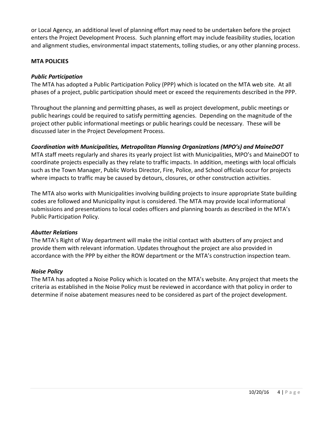or Local Agency, an additional level of planning effort may need to be undertaken before the project enters the Project Development Process. Such planning effort may include feasibility studies, location and alignment studies, environmental impact statements, tolling studies, or any other planning process.

#### **MTA POLICIES**

#### *Public Participation*

The MTA has adopted a Public Participation Policy (PPP) which is located on the MTA web site. At all phases of a project, public participation should meet or exceed the requirements described in the PPP.

Throughout the planning and permitting phases, as well as project development, public meetings or public hearings could be required to satisfy permitting agencies. Depending on the magnitude of the project other public informational meetings or public hearings could be necessary. These will be discussed later in the Project Development Process.

#### *Coordination with Municipalities, Metropolitan Planning Organizations (MPO's) and MaineDOT*

MTA staff meets regularly and shares its yearly project list with Municipalities, MPO's and MaineDOT to coordinate projects especially as they relate to traffic impacts. In addition, meetings with local officials such as the Town Manager, Public Works Director, Fire, Police, and School officials occur for projects where impacts to traffic may be caused by detours, closures, or other construction activities.

The MTA also works with Municipalities involving building projects to insure appropriate State building codes are followed and Municipality input is considered. The MTA may provide local informational submissions and presentations to local codes officers and planning boards as described in the MTA's Public Participation Policy.

#### *Abutter Relations*

The MTA's Right of Way department will make the initial contact with abutters of any project and provide them with relevant information. Updates throughout the project are also provided in accordance with the PPP by either the ROW department or the MTA's construction inspection team.

#### *Noise Policy*

The MTA has adopted a Noise Policy which is located on the MTA's website. Any project that meets the criteria as established in the Noise Policy must be reviewed in accordance with that policy in order to determine if noise abatement measures need to be considered as part of the project development.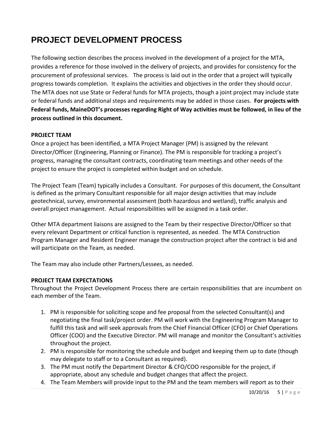# **PROJECT DEVELOPMENT PROCESS**

The following section describes the process involved in the development of a project for the MTA, provides a reference for those involved in the delivery of projects, and provides for consistency for the procurement of professional services. The process is laid out in the order that a project will typically progress towards completion. It explains the activities and objectives in the order they should occur. The MTA does not use State or Federal funds for MTA projects, though a joint project may include state or federal funds and additional steps and requirements may be added in those cases. **For projects with Federal funds, MaineDOT's processes regarding Right of Way activities must be followed, in lieu of the process outlined in this document.**

#### **PROJECT TEAM**

Once a project has been identified, a MTA Project Manager (PM) is assigned by the relevant Director/Officer (Engineering, Planning or Finance). The PM is responsible for tracking a project's progress, managing the consultant contracts, coordinating team meetings and other needs of the project to ensure the project is completed within budget and on schedule.

The Project Team (Team) typically includes a Consultant. For purposes of this document, the Consultant is defined as the primary Consultant responsible for all major design activities that may include geotechnical, survey, environmental assessment (both hazardous and wetland), traffic analysis and overall project management. Actual responsibilities will be assigned in a task order.

Other MTA department liaisons are assigned to the Team by their respective Director/Officer so that every relevant Department or critical function is represented, as needed. The MTA Construction Program Manager and Resident Engineer manage the construction project after the contract is bid and will participate on the Team, as needed.

The Team may also include other Partners/Lessees, as needed.

#### **PROJECT TEAM EXPECTATIONS**

Throughout the Project Development Process there are certain responsibilities that are incumbent on each member of the Team.

- 1. PM is responsible for soliciting scope and fee proposal from the selected Consultant(s) and negotiating the final task/project order. PM will work with the Engineering Program Manager to fulfill this task and will seek approvals from the Chief Financial Officer (CFO) or Chief Operations Officer (COO) and the Executive Director. PM will manage and monitor the Consultant's activities throughout the project.
- 2. PM is responsible for monitoring the schedule and budget and keeping them up to date (though may delegate to staff or to a Consultant as required).
- 3. The PM must notify the Department Director & CFO/COO responsible for the project, if appropriate, about any schedule and budget changes that affect the project.
- 4. The Team Members will provide input to the PM and the team members will report as to their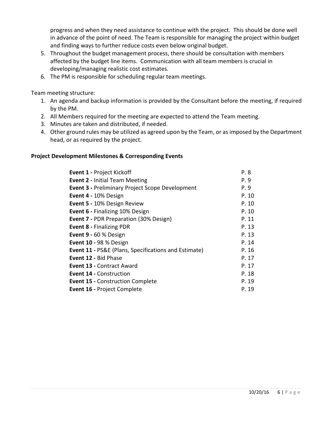progress and when they need assistance to continue with the project. This should be done well in advance of the point of need. The Team is responsible for managing the project within budget and finding ways to further reduce costs even below original budget.

- 5. Throughout the budget management process, there should be consultation with members affected by the budget line items. Communication with all team members is crucial in developing/managing realistic cost estimates.
- 6. The PM is responsible for scheduling regular team meetings.

Team meeting structure:

- 1. An agenda and backup information is provided by the Consultant before the meeting, if required by the PM.
- 2. All Members required for the meeting are expected to attend the Team meeting.
- 3. Minutes are taken and distributed, if needed.
- 4. Other ground rules may be utilized as agreed upon by the Team, or as imposed by the Department head, or as required by the project.

#### **Project Development Milestones & Corresponding Events**

| <b>Event 1 - Project Kickoff</b>                                | P. 8  |
|-----------------------------------------------------------------|-------|
| <b>Event 2 - Initial Team Meeting</b>                           | P. 9  |
| <b>Event 3 - Preliminary Project Scope Development</b>          | P. 9  |
| Event 4 - 10% Design                                            | P. 10 |
| Event 5 - 10% Design Review                                     | P. 10 |
| <b>Event 6 - Finalizing 10% Design</b>                          | P. 10 |
| <b>Event 7 - PDR Preparation (30% Design)</b>                   | P. 11 |
| <b>Event 8 - Finalizing PDR</b>                                 | P. 13 |
| Event 9 - 60 % Design                                           | P. 13 |
| Event 10 - 98 % Design                                          | P. 14 |
| <b>Event 11 - PS&amp;E (Plans, Specifications and Estimate)</b> | P. 16 |
| Event 12 - Bid Phase                                            | P. 17 |
| Event 13 - Contract Award                                       | P. 17 |
| <b>Event 14 - Construction</b>                                  | P. 18 |
| <b>Event 15 - Construction Complete</b>                         | P. 19 |
| <b>Event 16 - Project Complete</b>                              | P. 19 |
|                                                                 |       |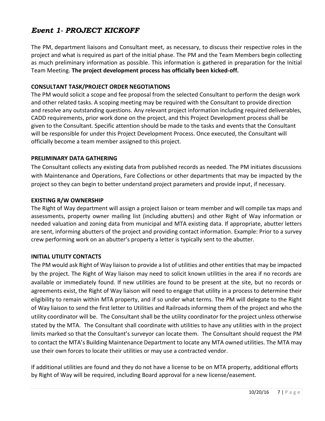# *Event 1- PROJECT KICKOFF*

The PM, department liaisons and Consultant meet, as necessary, to discuss their respective roles in the project and what is required as part of the initial phase. The PM and the Team Members begin collecting as much preliminary information as possible. This information is gathered in preparation for the Initial Team Meeting. **The project development process has officially been kicked-off.**

#### **CONSULTANT TASK/PROJECT ORDER NEGOTIATIONS**

The PM would solicit a scope and fee proposal from the selected Consultant to perform the design work and other related tasks. A scoping meeting may be required with the Consultant to provide direction and resolve any outstanding questions. Any relevant project information including required deliverables, CADD requirements, prior work done on the project, and this Project Development process shall be given to the Consultant. Specific attention should be made to the tasks and events that the Consultant will be responsible for under this Project Development Process. Once executed, the Consultant will officially become a team member assigned to this project.

#### **PRELIMINARY DATA GATHERING**

The Consultant collects any existing data from published records as needed. The PM initiates discussions with Maintenance and Operations, Fare Collections or other departments that may be impacted by the project so they can begin to better understand project parameters and provide input, if necessary.

#### **EXISTING R/W OWNERSHIP**

The Right of Way department will assign a project liaison or team member and will compile tax maps and assessments, property owner mailing list (including abutters) and other Right of Way information or needed valuation and zoning data from municipal and MTA existing data. If appropriate, abutter letters are sent, informing abutters of the project and providing contact information. Example: Prior to a survey crew performing work on an abutter's property a letter is typically sent to the abutter.

#### **INITIAL UTILITY CONTACTS**

The PM would ask Right of Way liaison to provide a list of utilities and other entities that may be impacted by the project. The Right of Way liaison may need to solicit known utilities in the area if no records are available or immediately found. If new utilities are found to be present at the site, but no records or agreements exist, the Right of Way liaison will need to engage that utility in a process to determine their eligibility to remain within MTA property, and if so under what terms. The PM will delegate to the Right of Way liaison to send the first letter to Utilities and Railroads informing them of the project and who the utility coordinator will be. The Consultant shall be the utility coordinator for the project unless otherwise stated by the MTA. The Consultant shall coordinate with utilities to have any utilities with in the project limits marked so that the Consultant's surveyor can locate them. The Consultant should request the PM to contact the MTA's Building Maintenance Department to locate any MTA owned utilities. The MTA may use their own forces to locate their utilities or may use a contracted vendor.

If additional utilities are found and they do not have a license to be on MTA property, additional efforts by Right of Way will be required, including Board approval for a new license/easement.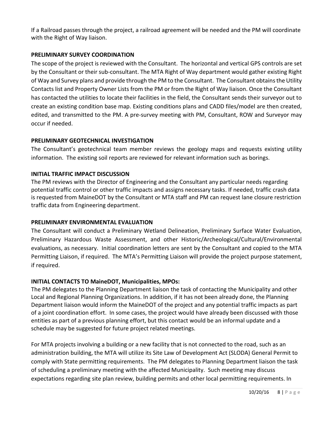If a Railroad passes through the project, a railroad agreement will be needed and the PM will coordinate with the Right of Way liaison.

#### **PRELIMINARY SURVEY COORDINATION**

The scope of the project is reviewed with the Consultant. The horizontal and vertical GPS controls are set by the Consultant or their sub-consultant. The MTA Right of Way department would gather existing Right of Way and Survey plans and provide through the PM to the Consultant. The Consultant obtains the Utility Contacts list and Property Owner Lists from the PM or from the Right of Way liaison. Once the Consultant has contacted the utilities to locate their facilities in the field, the Consultant sends their surveyor out to create an existing condition base map. Existing conditions plans and CADD files/model are then created, edited, and transmitted to the PM. A pre-survey meeting with PM, Consultant, ROW and Surveyor may occur if needed.

#### **PRELIMINARY GEOTECHNICAL INVESTIGATION**

The Consultant's geotechnical team member reviews the geology maps and requests existing utility information. The existing soil reports are reviewed for relevant information such as borings.

#### **INITIAL TRAFFIC IMPACT DISCUSSION**

The PM reviews with the Director of Engineering and the Consultant any particular needs regarding potential traffic control or other traffic impacts and assigns necessary tasks. If needed, traffic crash data is requested from MaineDOT by the Consultant or MTA staff and PM can request lane closure restriction traffic data from Engineering department.

#### **PRELIMINARY ENVIRONMENTAL EVALUATION**

The Consultant will conduct a Preliminary Wetland Delineation, Preliminary Surface Water Evaluation, Preliminary Hazardous Waste Assessment, and other Historic/Archeological/Cultural/Environmental evaluations, as necessary. Initial coordination letters are sent by the Consultant and copied to the MTA Permitting Liaison, if required. The MTA's Permitting Liaison will provide the project purpose statement, if required.

#### **INITIAL CONTACTS TO MaineDOT, Municipalities, MPOs:**

The PM delegates to the Planning Department liaison the task of contacting the Municipality and other Local and Regional Planning Organizations. In addition, if it has not been already done, the Planning Department liaison would inform the MaineDOT of the project and any potential traffic impacts as part of a joint coordination effort. In some cases, the project would have already been discussed with those entities as part of a previous planning effort, but this contact would be an informal update and a schedule may be suggested for future project related meetings.

For MTA projects involving a building or a new facility that is not connected to the road, such as an administration building, the MTA will utilize its Site Law of Development Act (SLODA) General Permit to comply with State permitting requirements. The PM delegates to Planning Department liaison the task of scheduling a preliminary meeting with the affected Municipality. Such meeting may discuss expectations regarding site plan review, building permits and other local permitting requirements. In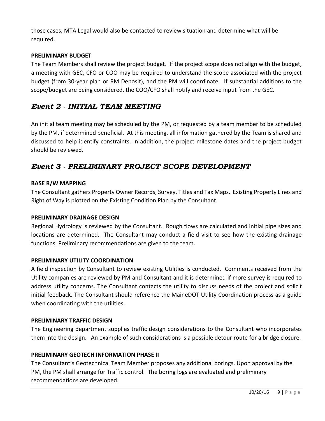those cases, MTA Legal would also be contacted to review situation and determine what will be required.

#### **PRELIMINARY BUDGET**

The Team Members shall review the project budget. If the project scope does not align with the budget, a meeting with GEC, CFO or COO may be required to understand the scope associated with the project budget (from 30-year plan or RM Deposit), and the PM will coordinate. If substantial additions to the scope/budget are being considered, the COO/CFO shall notify and receive input from the GEC.

# *Event 2 - INITIAL TEAM MEETING*

An initial team meeting may be scheduled by the PM, or requested by a team member to be scheduled by the PM, if determined beneficial. At this meeting, all information gathered by the Team is shared and discussed to help identify constraints. In addition, the project milestone dates and the project budget should be reviewed.

# *Event 3 - PRELIMINARY PROJECT SCOPE DEVELOPMENT*

#### **BASE R/W MAPPING**

The Consultant gathers Property Owner Records, Survey, Titles and Tax Maps. Existing Property Lines and Right of Way is plotted on the Existing Condition Plan by the Consultant.

#### **PRELIMINARY DRAINAGE DESIGN**

Regional Hydrology is reviewed by the Consultant. Rough flows are calculated and initial pipe sizes and locations are determined. The Consultant may conduct a field visit to see how the existing drainage functions. Preliminary recommendations are given to the team.

#### **PRELIMINARY UTILITY COORDINATION**

A field inspection by Consultant to review existing Utilities is conducted. Comments received from the Utility companies are reviewed by PM and Consultant and it is determined if more survey is required to address utility concerns. The Consultant contacts the utility to discuss needs of the project and solicit initial feedback. The Consultant should reference the MaineDOT Utility Coordination process as a guide when coordinating with the utilities.

#### **PRELIMINARY TRAFFIC DESIGN**

The Engineering department supplies traffic design considerations to the Consultant who incorporates them into the design. An example of such considerations is a possible detour route for a bridge closure.

#### **PRELIMINARY GEOTECH INFORMATION PHASE II**

The Consultant's Geotechnical Team Member proposes any additional borings. Upon approval by the PM, the PM shall arrange for Traffic control. The boring logs are evaluated and preliminary recommendations are developed.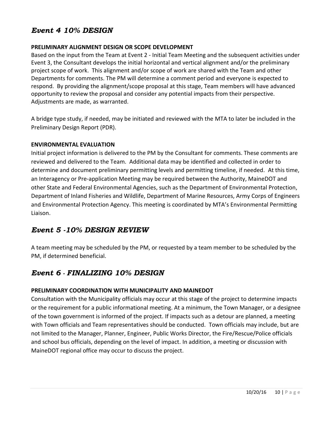# *Event 4 10% DESIGN*

#### **PRELIMINARY ALIGNMENT DESIGN OR SCOPE DEVELOPMENT**

Based on the input from the Team at Event 2 - Initial Team Meeting and the subsequent activities under Event 3, the Consultant develops the initial horizontal and vertical alignment and/or the preliminary project scope of work. This alignment and/or scope of work are shared with the Team and other Departments for comments. The PM will determine a comment period and everyone is expected to respond. By providing the alignment/scope proposal at this stage, Team members will have advanced opportunity to review the proposal and consider any potential impacts from their perspective. Adjustments are made, as warranted.

A bridge type study, if needed, may be initiated and reviewed with the MTA to later be included in the Preliminary Design Report (PDR).

#### **ENVIRONMENTAL EVALUATION**

Initial project information is delivered to the PM by the Consultant for comments. These comments are reviewed and delivered to the Team. Additional data may be identified and collected in order to determine and document preliminary permitting levels and permitting timeline, if needed. At this time, an Interagency or Pre-application Meeting may be required between the Authority, MaineDOT and other State and Federal Environmental Agencies, such as the Department of Environmental Protection, Department of Inland Fisheries and Wildlife, Department of Marine Resources, Army Corps of Engineers and Environmental Protection Agency. This meeting is coordinated by MTA's Environmental Permitting Liaison.

## *Event 5 -10% DESIGN REVIEW*

A team meeting may be scheduled by the PM, or requested by a team member to be scheduled by the PM, if determined beneficial.

# *Event 6 - FINALIZING 10% DESIGN*

#### **PRELIMINARY COORDINATION WITH MUNICIPALITY AND MAINEDOT**

Consultation with the Municipality officials may occur at this stage of the project to determine impacts or the requirement for a public informational meeting. At a minimum, the Town Manager, or a designee of the town government is informed of the project. If impacts such as a detour are planned, a meeting with Town officials and Team representatives should be conducted. Town officials may include, but are not limited to the Manager, Planner, Engineer, Public Works Director, the Fire/Rescue/Police officials and school bus officials, depending on the level of impact. In addition, a meeting or discussion with MaineDOT regional office may occur to discuss the project.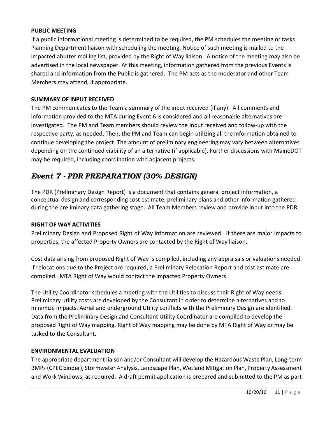#### **PUBLIC MEETING**

If a public informational meeting is determined to be required, the PM schedules the meeting or tasks Planning Department liaison with scheduling the meeting. Notice of such meeting is mailed to the impacted abutter mailing list, provided by the Right of Way liaison. A notice of the meeting may also be advertised in the local newspaper. At this meeting, information gathered from the previous Events is shared and information from the Public is gathered. The PM acts as the moderator and other Team Members may attend, if appropriate.

#### **SUMMARY OF INPUT RECEIVED**

The PM communicates to the Team a summary of the input received (if any). All comments and information provided to the MTA during Event 6 is considered and all reasonable alternatives are investigated. The PM and Team members should review the input received and follow-up with the respective party, as needed. Then, the PM and Team can begin utilizing all the information obtained to continue developing the project. The amount of preliminary engineering may vary between alternatives depending on the continued viability of an alternative (if applicable). Further discussions with MaineDOT may be required, including coordination with adjacent projects.

# *Event 7 - PDR PREPARATION (30% DESIGN)*

The PDR (Preliminary Design Report) is a document that contains general project information, a conceptual design and corresponding cost estimate, preliminary plans and other information gathered during the preliminary data gathering stage. All Team Members review and provide input into the PDR.

#### **RIGHT OF WAY ACTIVITIES**

Preliminary Design and Proposed Right of Way information are reviewed. If there are major impacts to properties, the affected Property Owners are contacted by the Right of Way liaison.

Cost data arising from proposed Right of Way is compiled, including any appraisals or valuations needed. If relocations due to the Project are required, a Preliminary Relocation Report and cost estimate are compiled. MTA Right of Way would contact the impacted Property Owners.

The Utility Coordinator schedules a meeting with the Utilities to discuss their Right of Way needs. Preliminary utility costs are developed by the Consultant in order to determine alternatives and to minimize impacts. Aerial and underground Utility conflicts with the Preliminary Design are identified. Data from the Preliminary Design and Consultant Utility Coordinator are compiled to develop the proposed Right of Way mapping. Right of Way mapping may be done by MTA Right of Way or may be tasked to the Consultant.

#### **ENVIRONMENTAL EVALUATION**

The appropriate department liaison and/or Consultant will develop the Hazardous Waste Plan, Long-term BMPs(CPEC binder), Stormwater Analysis, Landscape Plan, Wetland Mitigation Plan, Property Assessment and Work Windows, as required. A draft permit application is prepared and submitted to the PM as part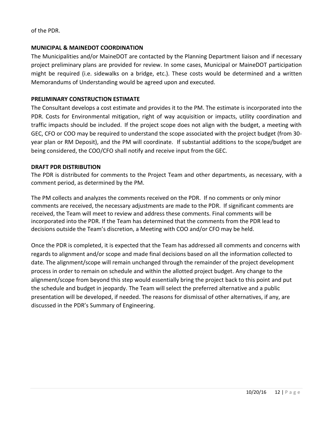of the PDR.

#### **MUNICIPAL & MAINEDOT COORDINATION**

The Municipalities and/or MaineDOT are contacted by the Planning Department liaison and if necessary project preliminary plans are provided for review. In some cases, Municipal or MaineDOT participation might be required (i.e. sidewalks on a bridge, etc.). These costs would be determined and a written Memorandums of Understanding would be agreed upon and executed.

#### **PRELIMINARY CONSTRUCTION ESTIMATE**

The Consultant develops a cost estimate and provides it to the PM. The estimate is incorporated into the PDR. Costs for Environmental mitigation, right of way acquisition or impacts, utility coordination and traffic impacts should be included. If the project scope does not align with the budget, a meeting with GEC, CFO or COO may be required to understand the scope associated with the project budget (from 30 year plan or RM Deposit), and the PM will coordinate. If substantial additions to the scope/budget are being considered, the COO/CFO shall notify and receive input from the GEC.

#### **DRAFT PDR DISTRIBUTION**

The PDR is distributed for comments to the Project Team and other departments, as necessary, with a comment period, as determined by the PM.

The PM collects and analyzes the comments received on the PDR. If no comments or only minor comments are received, the necessary adjustments are made to the PDR. If significant comments are received, the Team will meet to review and address these comments. Final comments will be incorporated into the PDR. If the Team has determined that the comments from the PDR lead to decisions outside the Team's discretion, a Meeting with COO and/or CFO may be held.

Once the PDR is completed, it is expected that the Team has addressed all comments and concerns with regards to alignment and/or scope and made final decisions based on all the information collected to date. The alignment/scope will remain unchanged through the remainder of the project development process in order to remain on schedule and within the allotted project budget. Any change to the alignment/scope from beyond this step would essentially bring the project back to this point and put the schedule and budget in jeopardy. The Team will select the preferred alternative and a public presentation will be developed, if needed. The reasons for dismissal of other alternatives, if any, are discussed in the PDR's Summary of Engineering.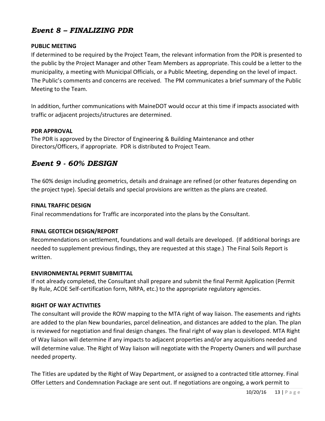# *Event 8 – FINALIZING PDR*

#### **PUBLIC MEETING**

If determined to be required by the Project Team, the relevant information from the PDR is presented to the public by the Project Manager and other Team Members as appropriate. This could be a letter to the municipality, a meeting with Municipal Officials, or a Public Meeting, depending on the level of impact. The Public's comments and concerns are received. The PM communicates a brief summary of the Public Meeting to the Team.

In addition, further communications with MaineDOT would occur at this time if impacts associated with traffic or adjacent projects/structures are determined.

#### **PDR APPROVAL**

The PDR is approved by the Director of Engineering & Building Maintenance and other Directors/Officers, if appropriate. PDR is distributed to Project Team.

# *Event 9 - 60% DESIGN*

The 60% design including geometrics, details and drainage are refined (or other features depending on the project type). Special details and special provisions are written as the plans are created.

#### **FINAL TRAFFIC DESIGN**

Final recommendations for Traffic are incorporated into the plans by the Consultant.

#### **FINAL GEOTECH DESIGN/REPORT**

Recommendations on settlement, foundations and wall details are developed. (If additional borings are needed to supplement previous findings, they are requested at this stage.) The Final Soils Report is written.

#### **ENVIRONMENTAL PERMIT SUBMITTAL**

If not already completed, the Consultant shall prepare and submit the final Permit Application (Permit By Rule, ACOE Self-certification form, NRPA, etc.) to the appropriate regulatory agencies.

#### **RIGHT OF WAY ACTIVITIES**

The consultant will provide the ROW mapping to the MTA right of way liaison. The easements and rights are added to the plan New boundaries, parcel delineation, and distances are added to the plan. The plan is reviewed for negotiation and final design changes. The final right of way plan is developed. MTA Right of Way liaison will determine if any impacts to adjacent properties and/or any acquisitions needed and will determine value. The Right of Way liaison will negotiate with the Property Owners and will purchase needed property.

The Titles are updated by the Right of Way Department, or assigned to a contracted title attorney. Final Offer Letters and Condemnation Package are sent out. If negotiations are ongoing, a work permit to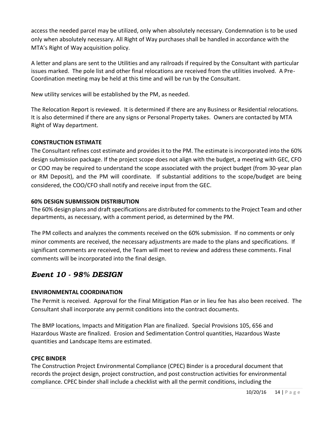access the needed parcel may be utilized, only when absolutely necessary. Condemnation is to be used only when absolutely necessary. All Right of Way purchases shall be handled in accordance with the MTA's Right of Way acquisition policy.

A letter and plans are sent to the Utilities and any railroads if required by the Consultant with particular issues marked. The pole list and other final relocations are received from the utilities involved. A Pre-Coordination meeting may be held at this time and will be run by the Consultant.

New utility services will be established by the PM, as needed.

The Relocation Report is reviewed. It is determined if there are any Business or Residential relocations. It is also determined if there are any signs or Personal Property takes. Owners are contacted by MTA Right of Way department.

#### **CONSTRUCTION ESTIMATE**

The Consultant refines cost estimate and provides it to the PM. The estimate is incorporated into the 60% design submission package. If the project scope does not align with the budget, a meeting with GEC, CFO or COO may be required to understand the scope associated with the project budget (from 30-year plan or RM Deposit), and the PM will coordinate. If substantial additions to the scope/budget are being considered, the COO/CFO shall notify and receive input from the GEC.

#### **60% DESIGN SUBMISSION DISTRIBUTION**

The 60% design plans and draft specifications are distributed for comments to the Project Team and other departments, as necessary, with a comment period, as determined by the PM.

The PM collects and analyzes the comments received on the 60% submission. If no comments or only minor comments are received, the necessary adjustments are made to the plans and specifications. If significant comments are received, the Team will meet to review and address these comments. Final comments will be incorporated into the final design.

# *Event 10 - 98% DESIGN*

## **ENVIRONMENTAL COORDINATION**

The Permit is received. Approval for the Final Mitigation Plan or in lieu fee has also been received. The Consultant shall incorporate any permit conditions into the contract documents.

The BMP locations, Impacts and Mitigation Plan are finalized. Special Provisions 105, 656 and Hazardous Waste are finalized. Erosion and Sedimentation Control quantities, Hazardous Waste quantities and Landscape Items are estimated.

#### **CPEC BINDER**

The Construction Project Environmental Compliance (CPEC) Binder is a procedural document that records the project design, project construction, and post construction activities for environmental compliance. CPEC binder shall include a checklist with all the permit conditions, including the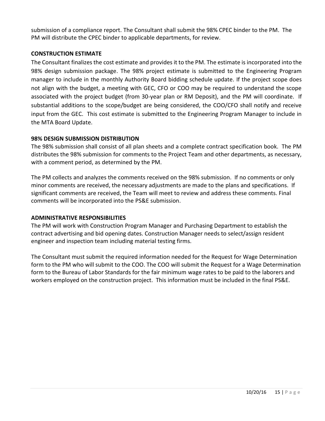submission of a compliance report. The Consultant shall submit the 98% CPEC binder to the PM. The PM will distribute the CPEC binder to applicable departments, for review.

#### **CONSTRUCTION ESTIMATE**

The Consultant finalizes the cost estimate and provides it to the PM. The estimate is incorporated into the 98% design submission package. The 98% project estimate is submitted to the Engineering Program manager to include in the monthly Authority Board bidding schedule update. If the project scope does not align with the budget, a meeting with GEC, CFO or COO may be required to understand the scope associated with the project budget (from 30-year plan or RM Deposit), and the PM will coordinate. If substantial additions to the scope/budget are being considered, the COO/CFO shall notify and receive input from the GEC. This cost estimate is submitted to the Engineering Program Manager to include in the MTA Board Update.

#### **98% DESIGN SUBMISSION DISTRIBUTION**

The 98% submission shall consist of all plan sheets and a complete contract specification book. The PM distributes the 98% submission for comments to the Project Team and other departments, as necessary, with a comment period, as determined by the PM.

The PM collects and analyzes the comments received on the 98% submission. If no comments or only minor comments are received, the necessary adjustments are made to the plans and specifications. If significant comments are received, the Team will meet to review and address these comments. Final comments will be incorporated into the PS&E submission.

#### **ADMINISTRATIVE RESPONSIBILITIES**

The PM will work with Construction Program Manager and Purchasing Department to establish the contract advertising and bid opening dates. Construction Manager needs to select/assign resident engineer and inspection team including material testing firms.

The Consultant must submit the required information needed for the Request for Wage Determination form to the PM who will submit to the COO. The COO will submit the Request for a Wage Determination form to the Bureau of Labor Standards for the fair minimum wage rates to be paid to the laborers and workers employed on the construction project. This information must be included in the final PS&E.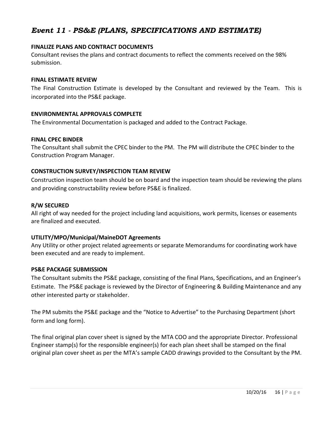# *Event 11 - PS&E (PLANS, SPECIFICATIONS AND ESTIMATE)*

#### **FINALIZE PLANS AND CONTRACT DOCUMENTS**

Consultant revises the plans and contract documents to reflect the comments received on the 98% submission.

#### **FINAL ESTIMATE REVIEW**

The Final Construction Estimate is developed by the Consultant and reviewed by the Team. This is incorporated into the PS&E package.

#### **ENVIRONMENTAL APPROVALS COMPLETE**

The Environmental Documentation is packaged and added to the Contract Package.

#### **FINAL CPEC BINDER**

The Consultant shall submit the CPEC binder to the PM. The PM will distribute the CPEC binder to the Construction Program Manager.

#### **CONSTRUCTION SURVEY/INSPECTION TEAM REVIEW**

Construction inspection team should be on board and the inspection team should be reviewing the plans and providing constructability review before PS&E is finalized.

#### **R/W SECURED**

All right of way needed for the project including land acquisitions, work permits, licenses or easements are finalized and executed.

#### **UTILITY/MPO/Municipal/MaineDOT Agreements**

Any Utility or other project related agreements or separate Memorandums for coordinating work have been executed and are ready to implement.

#### **PS&E PACKAGE SUBMISSION**

The Consultant submits the PS&E package, consisting of the final Plans, Specifications, and an Engineer's Estimate. The PS&E package is reviewed by the Director of Engineering & Building Maintenance and any other interested party or stakeholder.

The PM submits the PS&E package and the "Notice to Advertise" to the Purchasing Department (short form and long form).

The final original plan cover sheet is signed by the MTA COO and the appropriate Director. Professional Engineer stamp(s) for the responsible engineer(s) for each plan sheet shall be stamped on the final original plan cover sheet as per the MTA's sample CADD drawings provided to the Consultant by the PM.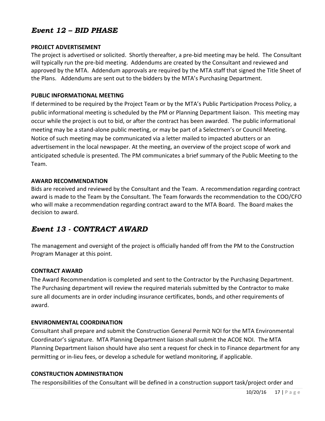# *Event 12 – BID PHASE*

#### **PROJECT ADVERTISEMENT**

The project is advertised or solicited. Shortly thereafter, a pre-bid meeting may be held. The Consultant will typically run the pre-bid meeting. Addendums are created by the Consultant and reviewed and approved by the MTA. Addendum approvals are required by the MTA staff that signed the Title Sheet of the Plans. Addendums are sent out to the bidders by the MTA's Purchasing Department.

#### **PUBLIC INFORMATIONAL MEETING**

If determined to be required by the Project Team or by the MTA's Public Participation Process Policy, a public informational meeting is scheduled by the PM or Planning Department liaison. This meeting may occur while the project is out to bid, or after the contract has been awarded. The public informational meeting may be a stand-alone public meeting, or may be part of a Selectmen's or Council Meeting. Notice of such meeting may be communicated via a letter mailed to impacted abutters or an advertisement in the local newspaper. At the meeting, an overview of the project scope of work and anticipated schedule is presented. The PM communicates a brief summary of the Public Meeting to the Team.

#### **AWARD RECOMMENDATION**

Bids are received and reviewed by the Consultant and the Team. A recommendation regarding contract award is made to the Team by the Consultant. The Team forwards the recommendation to the COO/CFO who will make a recommendation regarding contract award to the MTA Board. The Board makes the decision to award.

# *Event 13 - CONTRACT AWARD*

The management and oversight of the project is officially handed off from the PM to the Construction Program Manager at this point.

#### **CONTRACT AWARD**

The Award Recommendation is completed and sent to the Contractor by the Purchasing Department. The Purchasing department will review the required materials submitted by the Contractor to make sure all documents are in order including insurance certificates, bonds, and other requirements of award.

#### **ENVIRONMENTAL COORDINATION**

Consultant shall prepare and submit the Construction General Permit NOI for the MTA Environmental Coordinator's signature. MTA Planning Department liaison shall submit the ACOE NOI. The MTA Planning Department liaison should have also sent a request for check in to Finance department for any permitting or in-lieu fees, or develop a schedule for wetland monitoring, if applicable.

#### **CONSTRUCTION ADMINISTRATION**

The responsibilities of the Consultant will be defined in a construction support task/project order and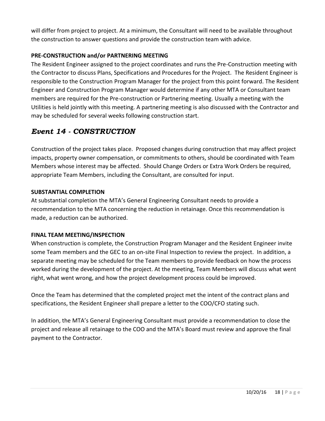will differ from project to project. At a minimum, the Consultant will need to be available throughout the construction to answer questions and provide the construction team with advice.

#### **PRE-CONSTRUCTION and/or PARTNERING MEETING**

The Resident Engineer assigned to the project coordinates and runs the Pre-Construction meeting with the Contractor to discuss Plans, Specifications and Procedures for the Project. The Resident Engineer is responsible to the Construction Program Manager for the project from this point forward. The Resident Engineer and Construction Program Manager would determine if any other MTA or Consultant team members are required for the Pre-construction or Partnering meeting. Usually a meeting with the Utilities is held jointly with this meeting. A partnering meeting is also discussed with the Contractor and may be scheduled for several weeks following construction start.

# *Event 14 - CONSTRUCTION*

Construction of the project takes place. Proposed changes during construction that may affect project impacts, property owner compensation, or commitments to others, should be coordinated with Team Members whose interest may be affected. Should Change Orders or Extra Work Orders be required, appropriate Team Members, including the Consultant, are consulted for input.

#### **SUBSTANTIAL COMPLETION**

At substantial completion the MTA's General Engineering Consultant needs to provide a recommendation to the MTA concerning the reduction in retainage. Once this recommendation is made, a reduction can be authorized.

## **FINAL TEAM MEETING/INSPECTION**

When construction is complete, the Construction Program Manager and the Resident Engineer invite some Team members and the GEC to an on-site Final Inspection to review the project. In addition, a separate meeting may be scheduled for the Team members to provide feedback on how the process worked during the development of the project. At the meeting, Team Members will discuss what went right, what went wrong, and how the project development process could be improved.

Once the Team has determined that the completed project met the intent of the contract plans and specifications, the Resident Engineer shall prepare a letter to the COO/CFO stating such.

In addition, the MTA's General Engineering Consultant must provide a recommendation to close the project and release all retainage to the COO and the MTA's Board must review and approve the final payment to the Contractor.